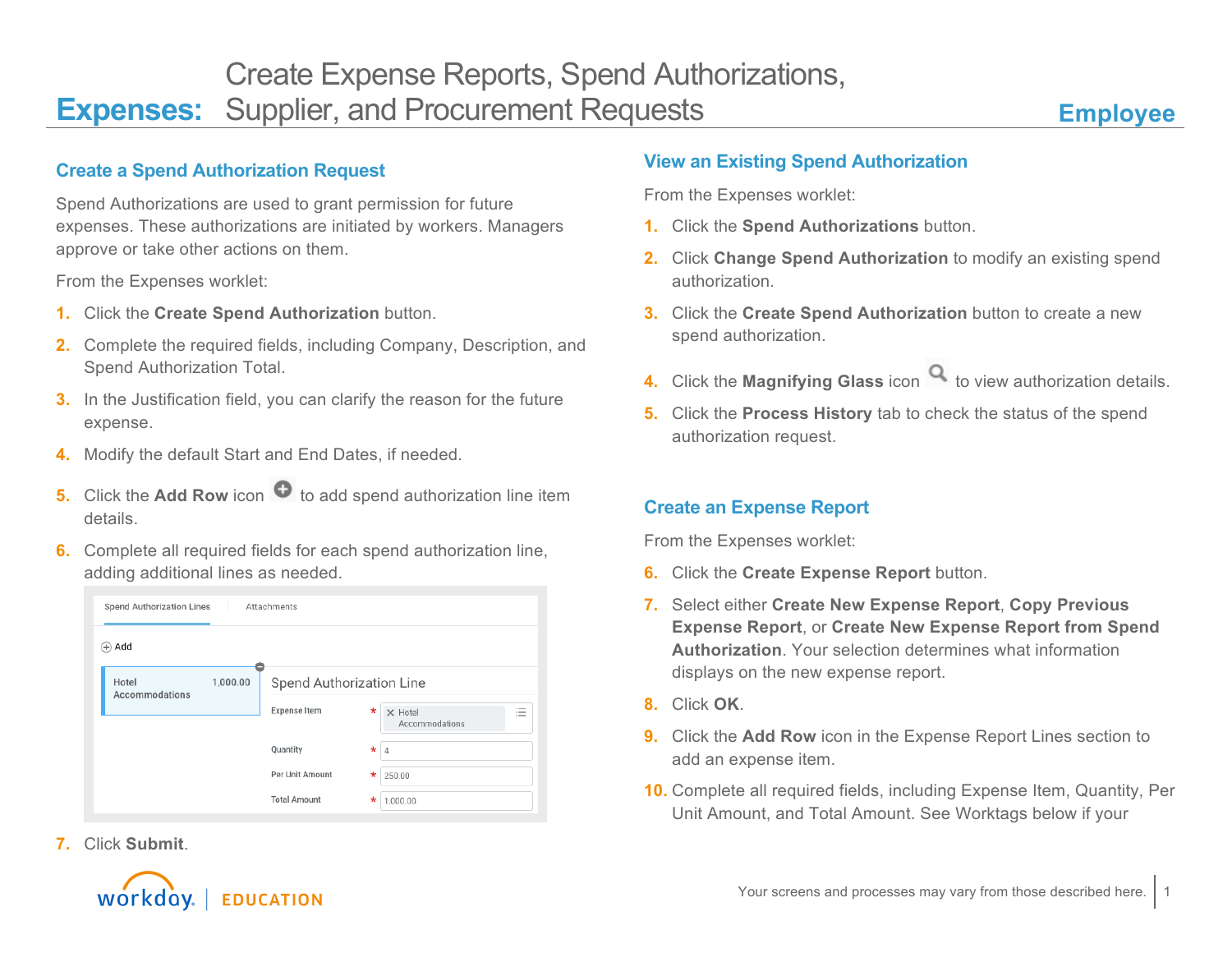### **Create a Spend Authorization Request**

Spend Authorizations are used to grant permission for future expenses. These authorizations are initiated by workers. Managers approve or take other actions on them.

From the Expenses worklet:

- **1.** Click the **Create Spend Authorization** button.
- **2.** Complete the required fields, including Company, Description, and Spend Authorization Total.
- **3.** In the Justification field, you can clarify the reason for the future expense.
- **4.** Modify the default Start and End Dates, if needed.
- **5.** Click the **Add Row** icon  $\bullet$  to add spend authorization line item details.
- **6.** Complete all required fields for each spend authorization line, adding additional lines as needed.

| <b>Spend Authorization Lines</b>    | Attachments         |                                                                                                               |  |  |
|-------------------------------------|---------------------|---------------------------------------------------------------------------------------------------------------|--|--|
| $(+)$ Add                           |                     |                                                                                                               |  |  |
| Hotel<br>1,000.00<br>Accommodations |                     | Spend Authorization Line                                                                                      |  |  |
|                                     | <b>Expense Item</b> | $\overline{\phantom{a}}$<br>$\star$<br>$\times$ Hotel<br>$\overline{\phantom{a}}$<br>$\sim$<br>Accommodations |  |  |
|                                     | Quantity            | $\star$<br>$\overline{4}$                                                                                     |  |  |
|                                     | Per Unit Amount     | *<br>250.00                                                                                                   |  |  |
|                                     | <b>Total Amount</b> | *<br>1,000.00                                                                                                 |  |  |

**7.** Click **Submit**.



From the Expenses worklet:

- **1.** Click the **Spend Authorizations** button.
- **2.** Click **Change Spend Authorization** to modify an existing spend authorization.
- **3.** Click the **Create Spend Authorization** button to create a new spend authorization.
- **4.** Click the **Magnifying Glass** icon **q** to view authorization details.
- **5.** Click the **Process History** tab to check the status of the spend authorization request.

#### **Create an Expense Report**

From the Expenses worklet:

- **6.** Click the **Create Expense Report** button.
- **7.** Select either **Create New Expense Report**, **Copy Previous Expense Report**, or **Create New Expense Report from Spend Authorization**. Your selection determines what information displays on the new expense report.
- **8.** Click **OK**.
- **9.** Click the **Add Row** icon in the Expense Report Lines section to add an expense item.
- **10.** Complete all required fields, including Expense Item, Quantity, Per Unit Amount, and Total Amount. See Worktags below if your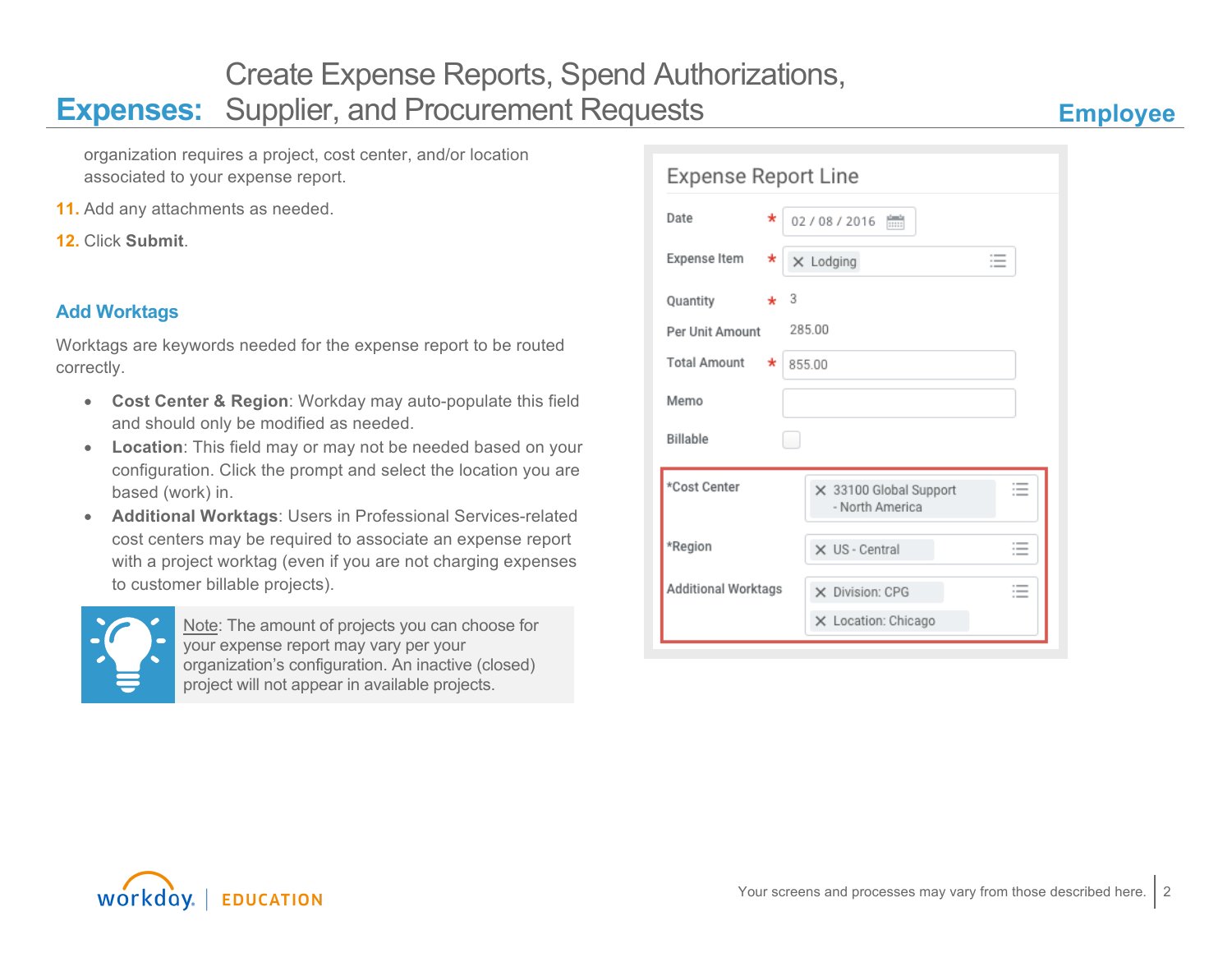organization requires a project, cost center, and/or location associated to your expense report.

- **11.** Add any attachments as needed.
- **12.** Click **Submit**.

## **Add Worktags**

Worktags are keywords needed for the expense report to be routed correctly.

- **Cost Center & Region**: Workday may auto-populate this field and should only be modified as needed.
- **Location**: This field may or may not be needed based on your configuration. Click the prompt and select the location you are based (work) in.
- **Additional Worktags**: Users in Professional Services-related cost centers may be required to associate an expense report with a project worktag (even if you are not charging expenses to customer billable projects).



Note: The amount of projects you can choose for your expense report may vary per your organization's configuration. An inactive (closed) project will not appear in available projects.

| <b>Expense Report Line</b> |                                                        |                                                                |  |  |  |  |
|----------------------------|--------------------------------------------------------|----------------------------------------------------------------|--|--|--|--|
| Date<br>*                  | 02/08/2016 [                                           |                                                                |  |  |  |  |
| Expense Item<br>*          | $\times$ Lodging<br>$\overline{\phantom{a}}$<br>$\sim$ |                                                                |  |  |  |  |
| 3<br>Quantity<br>$\star$   |                                                        |                                                                |  |  |  |  |
| Per Unit Amount            | 285.00                                                 |                                                                |  |  |  |  |
| <b>Total Amount</b><br>*   | 855.00                                                 |                                                                |  |  |  |  |
| Memo                       |                                                        |                                                                |  |  |  |  |
| Billable<br>۰              |                                                        |                                                                |  |  |  |  |
| *Cost Center               | × 33100 Global Support<br>- North America              | $\overline{\phantom{a}}$                                       |  |  |  |  |
| *Region                    | X US - Central                                         | $\sim$<br>$\overline{\phantom{a}}$<br>$\overline{\phantom{a}}$ |  |  |  |  |
| Additional Worktags        | X Division: CPG<br>X Location: Chicago                 | $\overline{\phantom{a}}$                                       |  |  |  |  |
|                            |                                                        |                                                                |  |  |  |  |

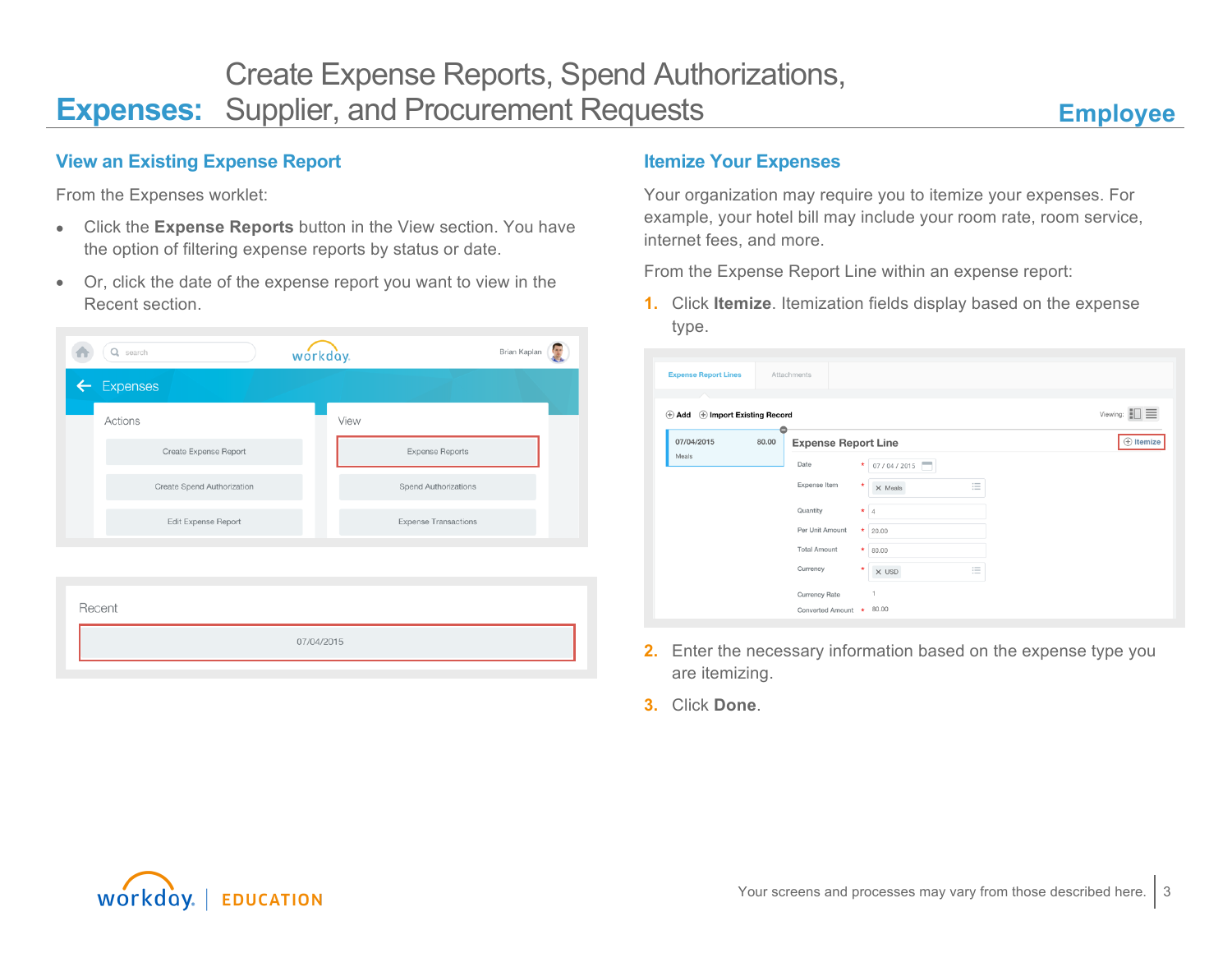#### **View an Existing Expense Report**

From the Expenses worklet:

- Click the **Expense Reports** button in the View section. You have the option of filtering expense reports by status or date.
- Or, click the date of the expense report you want to view in the Recent section.



07/04/2015

#### **Itemize Your Expenses**

Your organization may require you to itemize your expenses. For example, your hotel bill may include your room rate, room service, internet fees, and more.

From the Expense Report Line within an expense report:

**1.** Click **Itemize**. Itemization fields display based on the expense type.

| <b>Expense Report Lines</b> |                          | Attachments                |         |                                                               |                        |
|-----------------------------|--------------------------|----------------------------|---------|---------------------------------------------------------------|------------------------|
| $\oplus$ Add                | + Import Existing Record |                            |         |                                                               | Viewing: $\Box$<br>$=$ |
| 07/04/2015<br>80.00         |                          | <b>Expense Report Line</b> |         |                                                               | $\oplus$ Itemize       |
| Meals                       |                          | Date                       | $\star$ | 07/04/2015<br>-                                               |                        |
|                             |                          | Expense Item               | $\star$ | $\hspace*{0.2em} := \hspace*{0.2em}$<br>$\times$ Meals<br>$=$ |                        |
|                             |                          | Quantity                   | $\star$ | $\overline{4}$                                                |                        |
|                             |                          | Per Unit Amount            | $\star$ | 20.00                                                         |                        |
|                             |                          | <b>Total Amount</b>        | ×       | 80.00                                                         |                        |
|                             |                          | Currency                   | $\star$ | $\cdots$<br>$\times$ USD<br>$\cdots$<br>$-$                   |                        |
|                             |                          | Currency Rate              |         | 1                                                             |                        |
|                             |                          | Converted Amount * 80.00   |         |                                                               |                        |

- **2.** Enter the necessary information based on the expense type you are itemizing.
- **3.** Click **Done**.